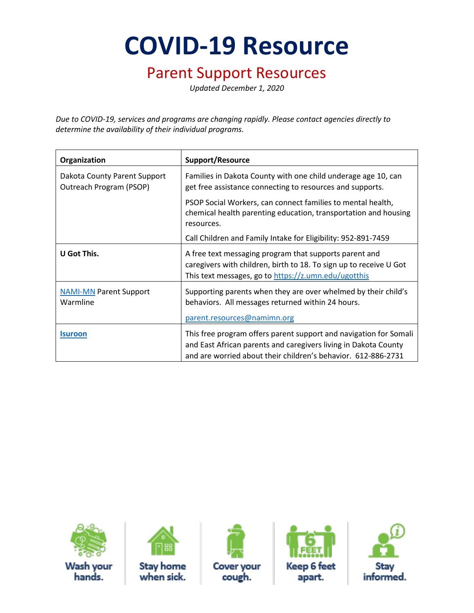**COVID-19 Resource**

#### Parent Support Resources

*Updated December 1, 2020*

*Due to COVID-19, services and programs are changing rapidly. Please contact agencies directly to determine the availability of their individual programs.* 

| Organization                                            | <b>Support/Resource</b>                                                                                                                                                                               |
|---------------------------------------------------------|-------------------------------------------------------------------------------------------------------------------------------------------------------------------------------------------------------|
| Dakota County Parent Support<br>Outreach Program (PSOP) | Families in Dakota County with one child underage age 10, can<br>get free assistance connecting to resources and supports.                                                                            |
|                                                         | PSOP Social Workers, can connect families to mental health,<br>chemical health parenting education, transportation and housing<br>resources.                                                          |
|                                                         | Call Children and Family Intake for Eligibility: 952-891-7459                                                                                                                                         |
| U Got This.                                             | A free text messaging program that supports parent and<br>caregivers with children, birth to 18. To sign up to receive U Got<br>This text messages, go to https://z.umn.edu/ugotthis                  |
| <b>NAMI-MN Parent Support</b><br>Warmline               | Supporting parents when they are over whelmed by their child's<br>behaviors. All messages returned within 24 hours.<br>parent.resources@namimn.org                                                    |
| <b>Isuroon</b>                                          | This free program offers parent support and navigation for Somali<br>and East African parents and caregivers living in Dakota County<br>and are worried about their children's behavior. 612-886-2731 |





**Stay home** when sick.



**Cover your** cough.



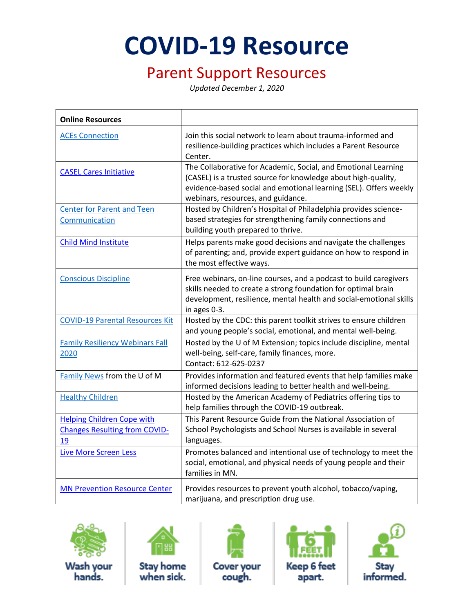# **COVID-19 Resource**

### Parent Support Resources

*Updated December 1, 2020*

| <b>Online Resources</b>                                                         |                                                                                                                                                                                                                                            |
|---------------------------------------------------------------------------------|--------------------------------------------------------------------------------------------------------------------------------------------------------------------------------------------------------------------------------------------|
| <b>ACEs Connection</b>                                                          | Join this social network to learn about trauma-informed and<br>resilience-building practices which includes a Parent Resource<br>Center.                                                                                                   |
| <b>CASEL Cares Initiative</b>                                                   | The Collaborative for Academic, Social, and Emotional Learning<br>(CASEL) is a trusted source for knowledge about high-quality,<br>evidence-based social and emotional learning (SEL). Offers weekly<br>webinars, resources, and guidance. |
| <b>Center for Parent and Teen</b><br>Communication                              | Hosted by Children's Hospital of Philadelphia provides science-<br>based strategies for strengthening family connections and<br>building youth prepared to thrive.                                                                         |
| <b>Child Mind Institute</b>                                                     | Helps parents make good decisions and navigate the challenges<br>of parenting; and, provide expert guidance on how to respond in<br>the most effective ways.                                                                               |
| <b>Conscious Discipline</b>                                                     | Free webinars, on-line courses, and a podcast to build caregivers<br>skills needed to create a strong foundation for optimal brain<br>development, resilience, mental health and social-emotional skills<br>in ages 0-3.                   |
| <b>COVID-19 Parental Resources Kit</b>                                          | Hosted by the CDC: this parent toolkit strives to ensure children<br>and young people's social, emotional, and mental well-being.                                                                                                          |
| <b>Family Resiliency Webinars Fall</b><br>2020                                  | Hosted by the U of M Extension; topics include discipline, mental<br>well-being, self-care, family finances, more.<br>Contact: 612-625-0237                                                                                                |
| Family News from the U of M                                                     | Provides information and featured events that help families make<br>informed decisions leading to better health and well-being.                                                                                                            |
| <b>Healthy Children</b>                                                         | Hosted by the American Academy of Pediatrics offering tips to<br>help families through the COVID-19 outbreak.                                                                                                                              |
| <b>Helping Children Cope with</b><br><b>Changes Resulting from COVID-</b><br>19 | This Parent Resource Guide from the National Association of<br>School Psychologists and School Nurses is available in several<br>languages.                                                                                                |
| <b>Live More Screen Less</b>                                                    | Promotes balanced and intentional use of technology to meet the<br>social, emotional, and physical needs of young people and their<br>families in MN.                                                                                      |
| <b>MN Prevention Resource Center</b>                                            | Provides resources to prevent youth alcohol, tobacco/vaping,<br>marijuana, and prescription drug use.                                                                                                                                      |



Wash your hands.



**Stay home** when sick.